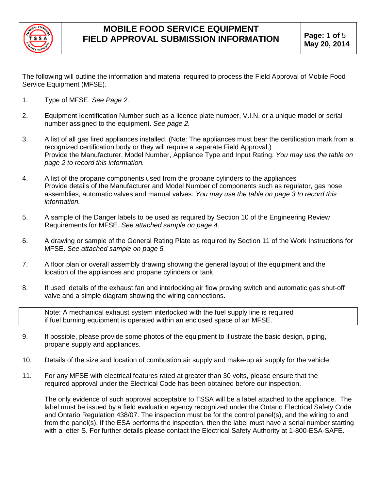

The following will outline the information and material required to process the Field Approval of Mobile Food Service Equipment (MFSE).

- 1. Type of MFSE. *See Page 2.*
- 2. Equipment Identification Number such as a licence plate number, V.I.N. or a unique model or serial number assigned to the equipment. *See page 2.*
- 3. A list of all gas fired appliances installed. (Note: The appliances must bear the certification mark from a recognized certification body or they will require a separate Field Approval.) Provide the Manufacturer, Model Number, Appliance Type and Input Rating. *You may use the table on page 2 to record this information.*
- 4. A list of the propane components used from the propane cylinders to the appliances Provide details of the Manufacturer and Model Number of components such as regulator, gas hose assemblies, automatic valves and manual valves. *You may use the table on page 3 to record this information.*
- 5. A sample of the Danger labels to be used as required by Section 10 of the Engineering Review Requirements for MFSE. *See attached sample on page 4.*
- 6. A drawing or sample of the General Rating Plate as required by Section 11 of the Work Instructions for MFSE. *See attached sample on page 5.*
- 7. A floor plan or overall assembly drawing showing the general layout of the equipment and the location of the appliances and propane cylinders or tank.
- 8. If used, details of the exhaust fan and interlocking air flow proving switch and automatic gas shut-off valve and a simple diagram showing the wiring connections.

Note: A mechanical exhaust system interlocked with the fuel supply line is required if fuel burning equipment is operated within an enclosed space of an MFSE.

- 9. If possible, please provide some photos of the equipment to illustrate the basic design, piping, propane supply and appliances.
- 10. Details of the size and location of combustion air supply and make-up air supply for the vehicle.
- 11. For any MFSE with electrical features rated at greater than 30 volts, please ensure that the required approval under the Electrical Code has been obtained before our inspection.

The only evidence of such approval acceptable to TSSA will be a label attached to the appliance. The label must be issued by a field evaluation agency recognized under the Ontario Electrical Safety Code and Ontario Regulation 438/07. The inspection must be for the control panel(s), and the wiring to and from the panel(s). If the ESA performs the inspection, then the label must have a serial number starting with a letter S. For further details please contact the Electrical Safety Authority at 1-800-ESA-SAFE.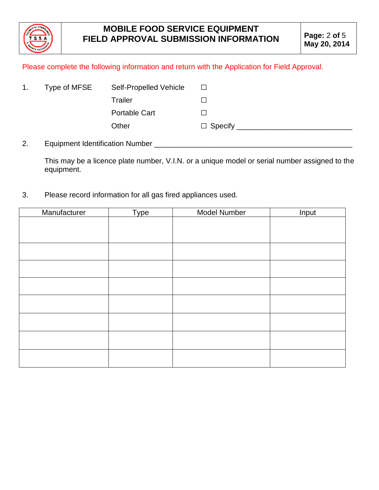

#### Please complete the following information and return with the Application for Field Approval.

| 1. | Type of MFSE                           | Self-Propelled Vehicle | $\sqcup$                 |
|----|----------------------------------------|------------------------|--------------------------|
|    |                                        | Trailer                |                          |
|    |                                        | <b>Portable Cart</b>   | $\overline{\phantom{a}}$ |
|    |                                        | Other                  | $\Box$ Specify           |
| 2. | <b>Equipment Identification Number</b> |                        |                          |

This may be a licence plate number, V.I.N. or a unique model or serial number assigned to the equipment.

3. Please record information for all gas fired appliances used.

| Manufacturer | Type | Model Number | Input |
|--------------|------|--------------|-------|
|              |      |              |       |
|              |      |              |       |
|              |      |              |       |
|              |      |              |       |
|              |      |              |       |
|              |      |              |       |
|              |      |              |       |
|              |      |              |       |
|              |      |              |       |
|              |      |              |       |
|              |      |              |       |
|              |      |              |       |
|              |      |              |       |
|              |      |              |       |
|              |      |              |       |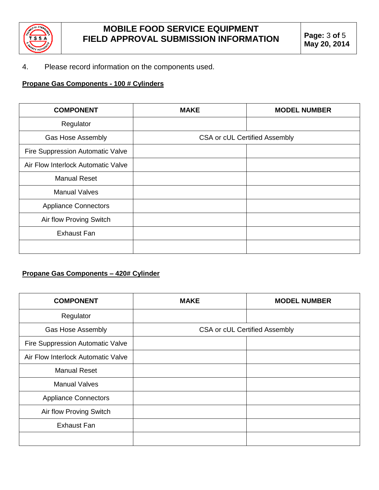

#### 4. Please record information on the components used.

### **Propane Gas Components - 100 # Cylinders**

| <b>COMPONENT</b>                   | <b>MAKE</b>                          | <b>MODEL NUMBER</b> |
|------------------------------------|--------------------------------------|---------------------|
| Regulator                          |                                      |                     |
| <b>Gas Hose Assembly</b>           | <b>CSA or cUL Certified Assembly</b> |                     |
| Fire Suppression Automatic Valve   |                                      |                     |
| Air Flow Interlock Automatic Valve |                                      |                     |
| <b>Manual Reset</b>                |                                      |                     |
| <b>Manual Valves</b>               |                                      |                     |
| <b>Appliance Connectors</b>        |                                      |                     |
| Air flow Proving Switch            |                                      |                     |
| <b>Exhaust Fan</b>                 |                                      |                     |
|                                    |                                      |                     |

### **Propane Gas Components – 420# Cylinder**

| <b>COMPONENT</b>                   | <b>MAKE</b>                          | <b>MODEL NUMBER</b> |
|------------------------------------|--------------------------------------|---------------------|
| Regulator                          |                                      |                     |
| <b>Gas Hose Assembly</b>           | <b>CSA or cUL Certified Assembly</b> |                     |
| Fire Suppression Automatic Valve   |                                      |                     |
| Air Flow Interlock Automatic Valve |                                      |                     |
| <b>Manual Reset</b>                |                                      |                     |
| <b>Manual Valves</b>               |                                      |                     |
| <b>Appliance Connectors</b>        |                                      |                     |
| Air flow Proving Switch            |                                      |                     |
| <b>Exhaust Fan</b>                 |                                      |                     |
|                                    |                                      |                     |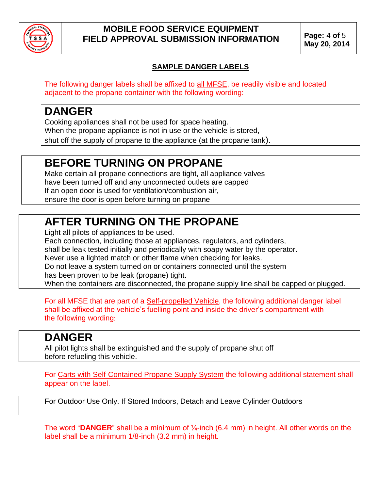

### **MOBILE FOOD SERVICE EQUIPMENT FIELD APPROVAL SUBMISSION INFORMATION Page:** <sup>4</sup> **of** <sup>5</sup>

### **SAMPLE DANGER LABELS**

The following danger labels shall be affixed to all MFSE, be readily visible and located adjacent to the propane container with the following wording:

## **DANGER**

Cooking appliances shall not be used for space heating. When the propane appliance is not in use or the vehicle is stored, shut off the supply of propane to the appliance (at the propane tank).

# **BEFORE TURNING ON PROPANE**

Make certain all propane connections are tight, all appliance valves have been turned off and any unconnected outlets are capped If an open door is used for ventilation/combustion air, ensure the door is open before turning on propane

# **AFTER TURNING ON THE PROPANE**

Light all pilots of appliances to be used.

Each connection, including those at appliances, regulators, and cylinders,

shall be leak tested initially and periodically with soapy water by the operator.

Never use a lighted match or other flame when checking for leaks.

Do not leave a system turned on or containers connected until the system has been proven to be leak (propane) tight.

When the containers are disconnected, the propane supply line shall be capped or plugged.

For all MFSE that are part of a Self-propelled Vehicle, the following additional danger label shall be affixed at the vehicle's fuelling point and inside the driver's compartment with the following wording:

# **DANGER**

All pilot lights shall be extinguished and the supply of propane shut off before refueling this vehicle.

For Carts with Self-Contained Propane Supply System the following additional statement shall appear on the label.

For Outdoor Use Only. If Stored Indoors, Detach and Leave Cylinder Outdoors

The word "DANGER" shall be a minimum of 1/<sub>4</sub>-inch (6.4 mm) in height. All other words on the label shall be a minimum 1/8-inch (3.2 mm) in height.